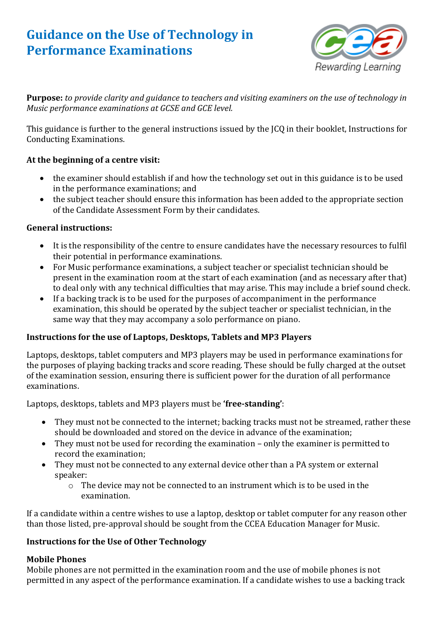# **Guidance on the Use of Technology in Performance Examinations**



**Purpose:** *to provide clarity and guidance to teachers and visiting examiners on the use of technology in Music performance examinations at GCSE and GCE level.*

This guidance is further to the general instructions issued by the JCQ in their booklet, Instructions for Conducting Examinations.

## **At the beginning of a centre visit:**

- the examiner should establish if and how the technology set out in this guidance is to be used in the performance examinations; and
- the subject teacher should ensure this information has been added to the appropriate section of the Candidate Assessment Form by their candidates.

### **General instructions:**

- It is the responsibility of the centre to ensure candidates have the necessary resources to fulfil their potential in performance examinations.
- For Music performance examinations, a subject teacher or specialist technician should be present in the examination room at the start of each examination (and as necessary after that) to deal only with any technical difficulties that may arise. This may include a brief sound check.
- If a backing track is to be used for the purposes of accompaniment in the performance examination, this should be operated by the subject teacher or specialist technician, in the same way that they may accompany a solo performance on piano.

# **Instructions for the use of Laptops, Desktops, Tablets and MP3 Players**

Laptops, desktops, tablet computers and MP3 players may be used in performance examinations for the purposes of playing backing tracks and score reading. These should be fully charged at the outset of the examination session, ensuring there is sufficient power for the duration of all performance examinations.

Laptops, desktops, tablets and MP3 players must be **'free-standing'**:

- They must not be connected to the internet; backing tracks must not be streamed, rather these should be downloaded and stored on the device in advance of the examination;
- They must not be used for recording the examination only the examiner is permitted to record the examination;
- They must not be connected to any external device other than a PA system or external speaker:
	- o The device may not be connected to an instrument which is to be used in the examination.

If a candidate within a centre wishes to use a laptop, desktop or tablet computer for any reason other than those listed, pre-approval should be sought from the CCEA Education Manager for Music.

### **Instructions for the Use of Other Technology**

# **Mobile Phones**

Mobile phones are not permitted in the examination room and the use of mobile phones is not permitted in any aspect of the performance examination. If a candidate wishes to use a backing track